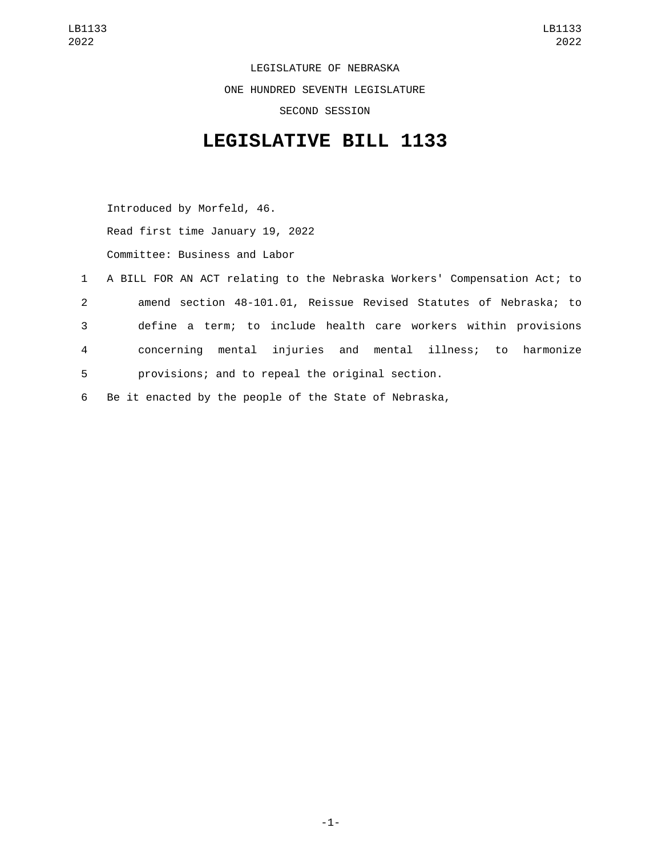LEGISLATURE OF NEBRASKA ONE HUNDRED SEVENTH LEGISLATURE SECOND SESSION

## **LEGISLATIVE BILL 1133**

Introduced by Morfeld, 46. Read first time January 19, 2022 Committee: Business and Labor

|        | 1   A BILL FOR AN ACT relating to the Nebraska Workers' Compensation Act; to |
|--------|------------------------------------------------------------------------------|
| $^{2}$ | amend section 48-101.01, Reissue Revised Statutes of Nebraska; to            |
| 3      | define a term; to include health care workers within provisions              |
| 4      | concerning mental injuries and mental illness; to harmonize                  |
| 5      | provisions; and to repeal the original section.                              |

6 Be it enacted by the people of the State of Nebraska,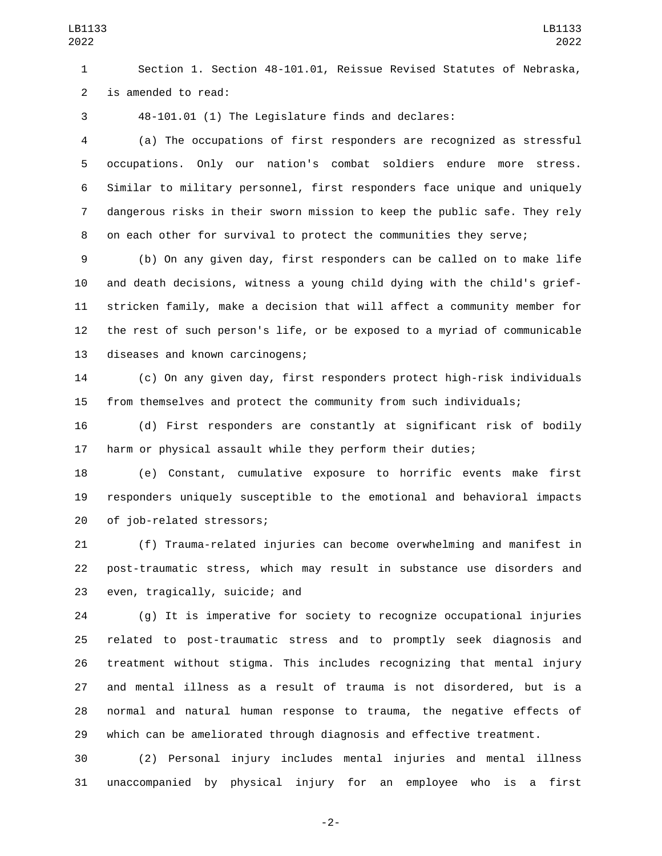Section 1. Section 48-101.01, Reissue Revised Statutes of Nebraska, 2 is amended to read:

48-101.01 (1) The Legislature finds and declares:

 (a) The occupations of first responders are recognized as stressful occupations. Only our nation's combat soldiers endure more stress. Similar to military personnel, first responders face unique and uniquely dangerous risks in their sworn mission to keep the public safe. They rely on each other for survival to protect the communities they serve;

 (b) On any given day, first responders can be called on to make life and death decisions, witness a young child dying with the child's grief- stricken family, make a decision that will affect a community member for the rest of such person's life, or be exposed to a myriad of communicable 13 diseases and known carcinogens;

 (c) On any given day, first responders protect high-risk individuals from themselves and protect the community from such individuals;

 (d) First responders are constantly at significant risk of bodily harm or physical assault while they perform their duties;

 (e) Constant, cumulative exposure to horrific events make first responders uniquely susceptible to the emotional and behavioral impacts 20 of job-related stressors;

 (f) Trauma-related injuries can become overwhelming and manifest in post-traumatic stress, which may result in substance use disorders and 23 even, tragically, suicide; and

 (g) It is imperative for society to recognize occupational injuries related to post-traumatic stress and to promptly seek diagnosis and treatment without stigma. This includes recognizing that mental injury and mental illness as a result of trauma is not disordered, but is a normal and natural human response to trauma, the negative effects of which can be ameliorated through diagnosis and effective treatment.

 (2) Personal injury includes mental injuries and mental illness unaccompanied by physical injury for an employee who is a first

-2-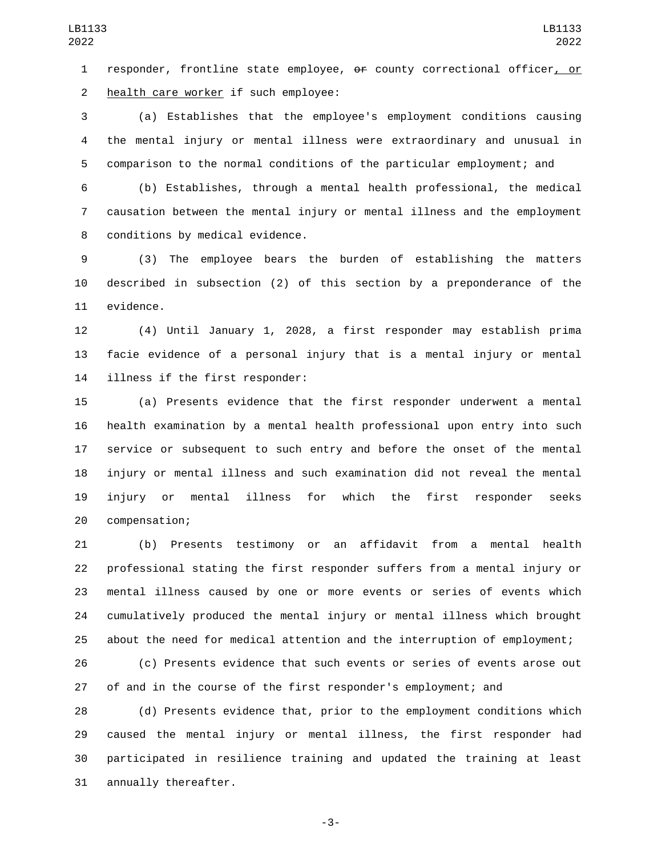1 responder, frontline state employee, or county correctional officer, or 2 health care worker if such employee:

 (a) Establishes that the employee's employment conditions causing the mental injury or mental illness were extraordinary and unusual in comparison to the normal conditions of the particular employment; and

 (b) Establishes, through a mental health professional, the medical causation between the mental injury or mental illness and the employment 8 conditions by medical evidence.

 (3) The employee bears the burden of establishing the matters described in subsection (2) of this section by a preponderance of the 11 evidence.

 (4) Until January 1, 2028, a first responder may establish prima facie evidence of a personal injury that is a mental injury or mental 14 illness if the first responder:

 (a) Presents evidence that the first responder underwent a mental health examination by a mental health professional upon entry into such service or subsequent to such entry and before the onset of the mental injury or mental illness and such examination did not reveal the mental injury or mental illness for which the first responder seeks 20 compensation;

 (b) Presents testimony or an affidavit from a mental health professional stating the first responder suffers from a mental injury or mental illness caused by one or more events or series of events which cumulatively produced the mental injury or mental illness which brought about the need for medical attention and the interruption of employment;

 (c) Presents evidence that such events or series of events arose out of and in the course of the first responder's employment; and

 (d) Presents evidence that, prior to the employment conditions which caused the mental injury or mental illness, the first responder had participated in resilience training and updated the training at least 31 annually thereafter.

-3-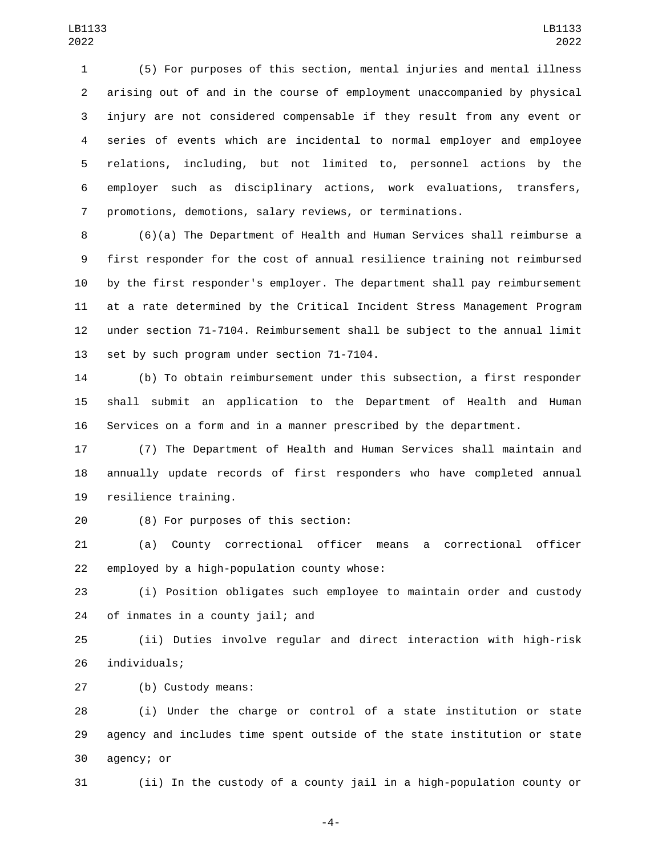(5) For purposes of this section, mental injuries and mental illness arising out of and in the course of employment unaccompanied by physical injury are not considered compensable if they result from any event or series of events which are incidental to normal employer and employee relations, including, but not limited to, personnel actions by the employer such as disciplinary actions, work evaluations, transfers, promotions, demotions, salary reviews, or terminations.

 (6)(a) The Department of Health and Human Services shall reimburse a first responder for the cost of annual resilience training not reimbursed by the first responder's employer. The department shall pay reimbursement at a rate determined by the Critical Incident Stress Management Program under section 71-7104. Reimbursement shall be subject to the annual limit 13 set by such program under section 71-7104.

 (b) To obtain reimbursement under this subsection, a first responder shall submit an application to the Department of Health and Human Services on a form and in a manner prescribed by the department.

 (7) The Department of Health and Human Services shall maintain and annually update records of first responders who have completed annual 19 resilience training.

(8) For purposes of this section:20

 (a) County correctional officer means a correctional officer employed by a high-population county whose:

 (i) Position obligates such employee to maintain order and custody 24 of inmates in a county jail; and

 (ii) Duties involve regular and direct interaction with high-risk 26 individuals;

(b) Custody means:27

 (i) Under the charge or control of a state institution or state agency and includes time spent outside of the state institution or state 30 agency; or

(ii) In the custody of a county jail in a high-population county or

-4-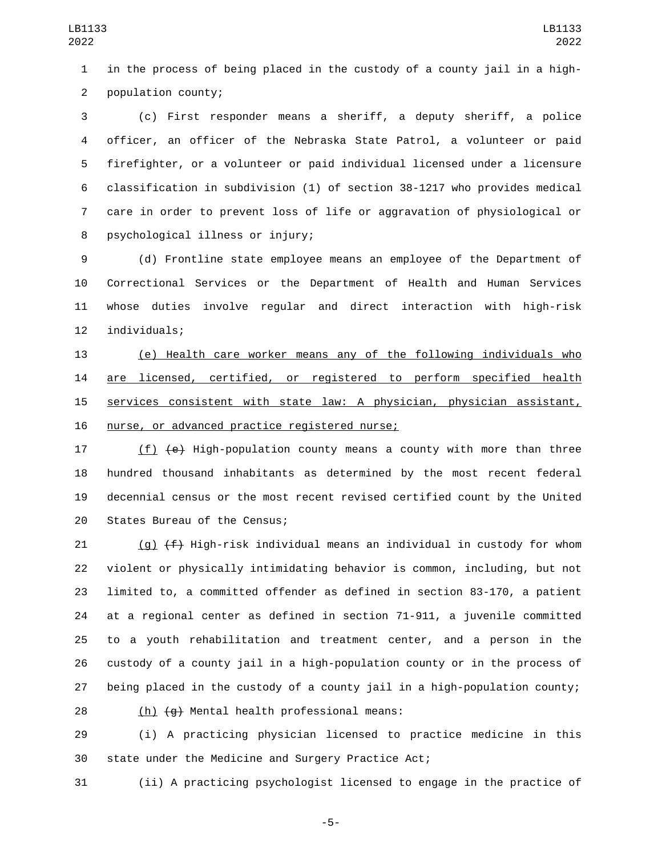in the process of being placed in the custody of a county jail in a high-2 population county;

 (c) First responder means a sheriff, a deputy sheriff, a police officer, an officer of the Nebraska State Patrol, a volunteer or paid firefighter, or a volunteer or paid individual licensed under a licensure classification in subdivision (1) of section 38-1217 who provides medical care in order to prevent loss of life or aggravation of physiological or 8 psychological illness or injury;

 (d) Frontline state employee means an employee of the Department of Correctional Services or the Department of Health and Human Services whose duties involve regular and direct interaction with high-risk 12 individuals;

 (e) Health care worker means any of the following individuals who 14 are licensed, certified, or registered to perform specified health services consistent with state law: A physician, physician assistant, 16 nurse, or advanced practice registered nurse;

17 (f) (e) High-population county means a county with more than three hundred thousand inhabitants as determined by the most recent federal decennial census or the most recent revised certified count by the United 20 States Bureau of the Census;

 $(g)$   $(f)$  High-risk individual means an individual in custody for whom violent or physically intimidating behavior is common, including, but not limited to, a committed offender as defined in section 83-170, a patient at a regional center as defined in section 71-911, a juvenile committed to a youth rehabilitation and treatment center, and a person in the custody of a county jail in a high-population county or in the process of being placed in the custody of a county jail in a high-population county;

 $(h)$   $\left(\frac{h}{g}\right)$  Mental health professional means:

 (i) A practicing physician licensed to practice medicine in this state under the Medicine and Surgery Practice Act;

(ii) A practicing psychologist licensed to engage in the practice of

-5-